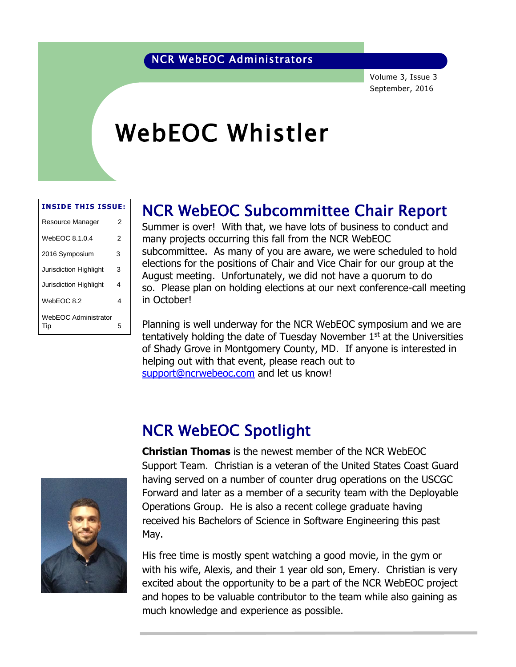### NCR WebEOC Administrators

Volume 3, Issue 3 September, 2016

# WebEOC Whistler

#### **INSIDE THIS ISSUE:**

| Resource Manager                   | 2 |
|------------------------------------|---|
| WebEOC 8.1.0.4                     | 2 |
| 2016 Symposium                     | 3 |
| Jurisdiction Highlight             | 3 |
| <b>Jurisdiction Highlight</b>      | 4 |
| WebEOC 8.2                         | 4 |
| <b>WebEOC Administrator</b><br>Tip | 5 |

### NCR WebEOC Subcommittee Chair Report

Summer is over! With that, we have lots of business to conduct and many projects occurring this fall from the NCR WebEOC subcommittee. As many of you are aware, we were scheduled to hold elections for the positions of Chair and Vice Chair for our group at the August meeting. Unfortunately, we did not have a quorum to do so. Please plan on holding elections at our next conference-call meeting in October!

Planning is well underway for the NCR WebEOC symposium and we are tentatively holding the date of Tuesday November  $1<sup>st</sup>$  at the Universities of Shady Grove in Montgomery County, MD. If anyone is interested in helping out with that event, please reach out to [support@ncrwebeoc.com](mailto:support@ncrwebeoc.com) and let us know!

## NCR WebEOC Spotlight

**Christian Thomas** is the newest member of the NCR WebEOC Support Team. Christian is a veteran of the United States Coast Guard having served on a number of counter drug operations on the USCGC Forward and later as a member of a security team with the Deployable Operations Group. He is also a recent college graduate having received his Bachelors of Science in Software Engineering this past May.

His free time is mostly spent watching a good movie, in the gym or with his wife, Alexis, and their 1 year old son, Emery. Christian is very excited about the opportunity to be a part of the NCR WebEOC project and hopes to be valuable contributor to the team while also gaining as much knowledge and experience as possible.

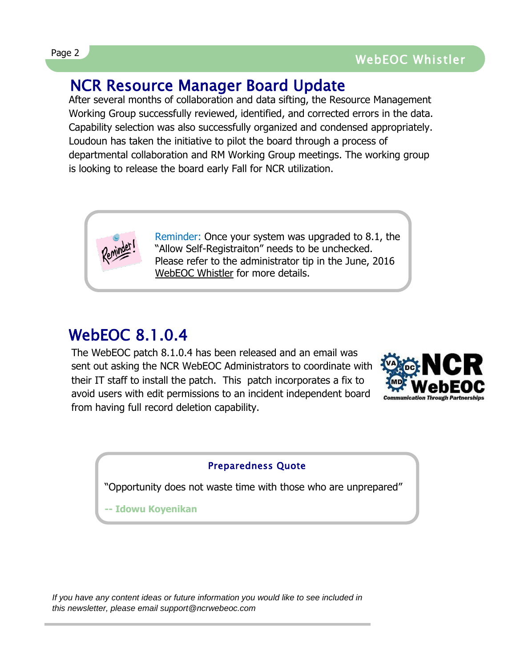### NCR Resource Manager Board Update

After several months of collaboration and data sifting, the Resource Management Working Group successfully reviewed, identified, and corrected errors in the data. Capability selection was also successfully organized and condensed appropriately. Loudoun has taken the initiative to pilot the board through a process of departmental collaboration and RM Working Group meetings. The working group is looking to release the board early Fall for NCR utilization.



### WebEOC 8.1.0.4

The WebEOC patch 8.1.0.4 has been released and an email was sent out asking the NCR WebEOC Administrators to coordinate with their IT staff to install the patch. This patch incorporates a fix to avoid users with edit permissions to an incident independent board from having full record deletion capability.



### Preparedness Quote

"Opportunity does not waste time with those who are unprepared"

**-- Idowu Koyenikan**

*If you have any content ideas or future information you would like to see included in this newsletter, please email support@ncrwebeoc.com*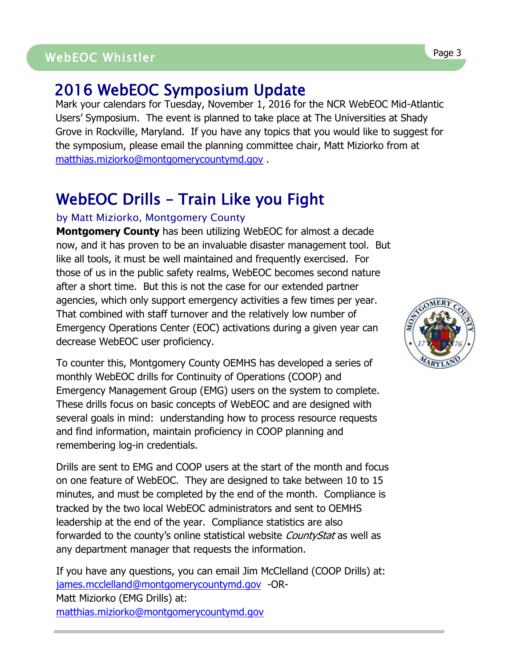## WebEOC Whistler Page 3 Page 3 WebEOC Whistler

### 2016 WebEOC Symposium Update

Mark your calendars for Tuesday, November 1, 2016 for the NCR WebEOC Mid-Atlantic Users' Symposium. The event is planned to take place at The Universities at Shady Grove in Rockville, Maryland. If you have any topics that you would like to suggest for the symposium, please email the planning committee chair, Matt Miziorko from at [matthias.miziorko@montgomerycountymd.gov](mailto:matthias.miziorko@montgomerycountymd.gov) .

## WebEOC Drills – Train Like you Fight

#### by Matt Miziorko, Montgomery County

**Montgomery County** has been utilizing WebEOC for almost a decade now, and it has proven to be an invaluable disaster management tool. But like all tools, it must be well maintained and frequently exercised. For those of us in the public safety realms, WebEOC becomes second nature after a short time. But this is not the case for our extended partner agencies, which only support emergency activities a few times per year. That combined with staff turnover and the relatively low number of Emergency Operations Center (EOC) activations during a given year can decrease WebEOC user proficiency.

To counter this, Montgomery County OEMHS has developed a series of monthly WebEOC drills for Continuity of Operations (COOP) and Emergency Management Group (EMG) users on the system to complete. These drills focus on basic concepts of WebEOC and are designed with several goals in mind: understanding how to process resource requests and find information, maintain proficiency in COOP planning and remembering log-in credentials.

Drills are sent to EMG and COOP users at the start of the month and focus on one feature of WebEOC. They are designed to take between 10 to 15 minutes, and must be completed by the end of the month. Compliance is tracked by the two local WebEOC administrators and sent to OEMHS leadership at the end of the year. Compliance statistics are also forwarded to the county's online statistical website *CountyStat* as well as any department manager that requests the information.

If you have any questions, you can email Jim McClelland (COOP Drills) at: [james.mcclelland@montgomerycountymd.gov](mailto:james.mcclelland@montgomerycountymd.gov) -OR-Matt Miziorko (EMG Drills) at: [matthias.miziorko@montgomerycountymd.gov](mailto:matthias.miziorko@montgomerycountymd.gov)

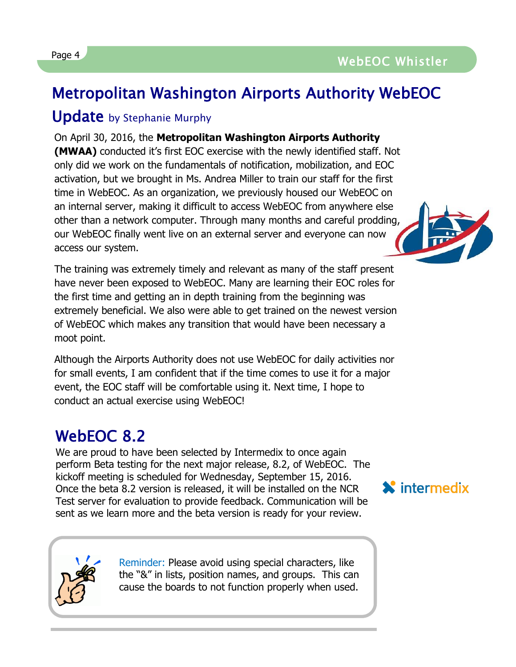## Metropolitan Washington Airports Authority WebEOC

### Update by Stephanie Murphy

On April 30, 2016, the **Metropolitan Washington Airports Authority (MWAA)** conducted it's first EOC exercise with the newly identified staff. Not only did we work on the fundamentals of notification, mobilization, and EOC activation, but we brought in Ms. Andrea Miller to train our staff for the first time in WebEOC. As an organization, we previously housed our WebEOC on an internal server, making it difficult to access WebEOC from anywhere else other than a network computer. Through many months and careful prodding, our WebEOC finally went live on an external server and everyone can now access our system.

The training was extremely timely and relevant as many of the staff present have never been exposed to WebEOC. Many are learning their EOC roles for the first time and getting an in depth training from the beginning was extremely beneficial. We also were able to get trained on the newest version of WebEOC which makes any transition that would have been necessary a moot point.

Although the Airports Authority does not use WebEOC for daily activities nor for small events, I am confident that if the time comes to use it for a major event, the EOC staff will be comfortable using it. Next time, I hope to conduct an actual exercise using WebEOC!

## WebEOC 8.2

We are proud to have been selected by Intermedix to once again perform Beta testing for the next major release, 8.2, of WebEOC. The kickoff meeting is scheduled for Wednesday, September 15, 2016. Once the beta 8.2 version is released, it will be installed on the NCR Test server for evaluation to provide feedback. Communication will be sent as we learn more and the beta version is ready for your review.

> Reminder: Please avoid using special characters, like the "&" in lists, position names, and groups. This can cause the boards to not function properly when used.